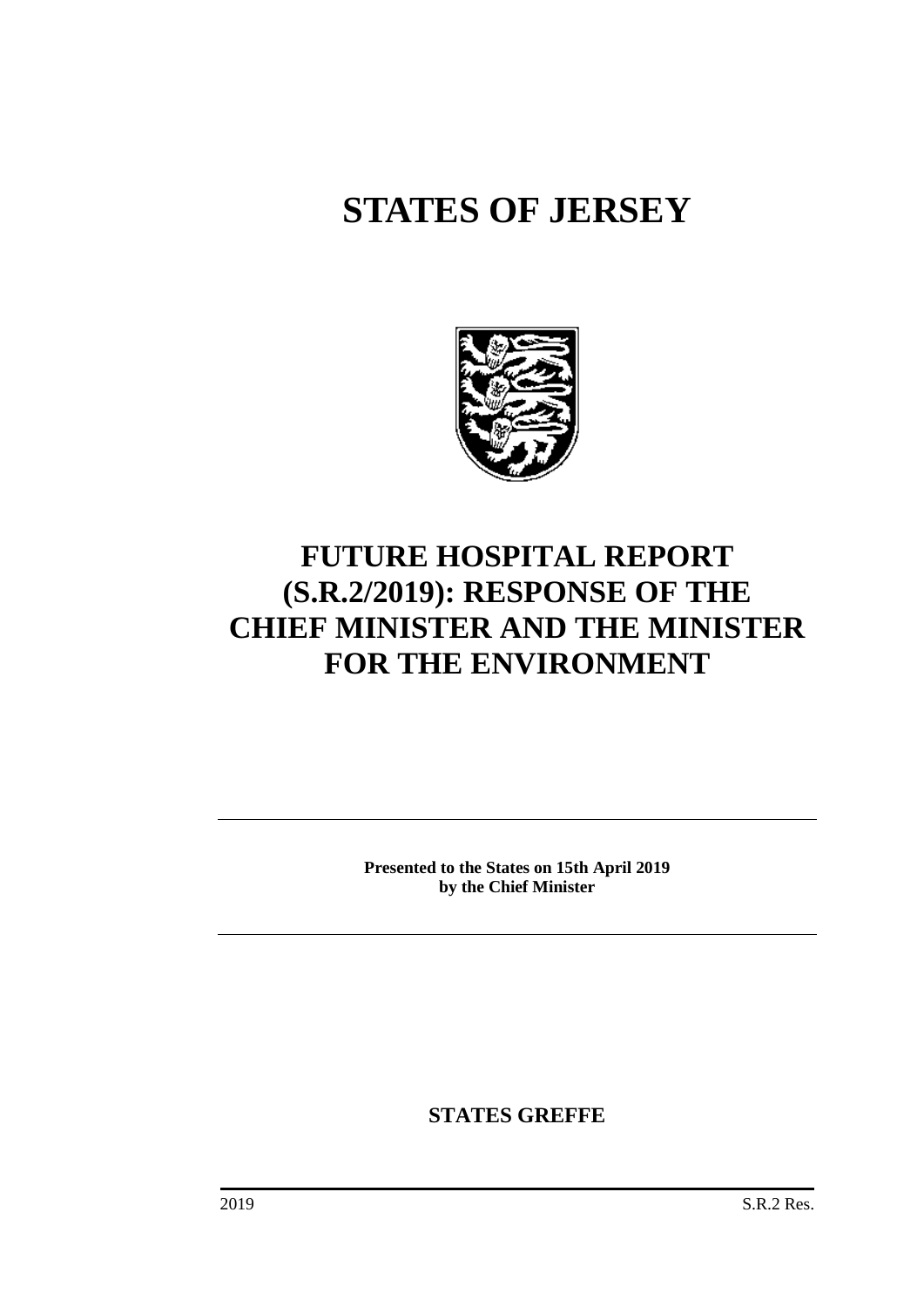# **STATES OF JERSEY**



# **FUTURE HOSPITAL REPORT (S.R.2/2019): RESPONSE OF THE CHIEF MINISTER AND THE MINISTER FOR THE ENVIRONMENT**

**Presented to the States on 15th April 2019 by the Chief Minister**

**STATES GREFFE**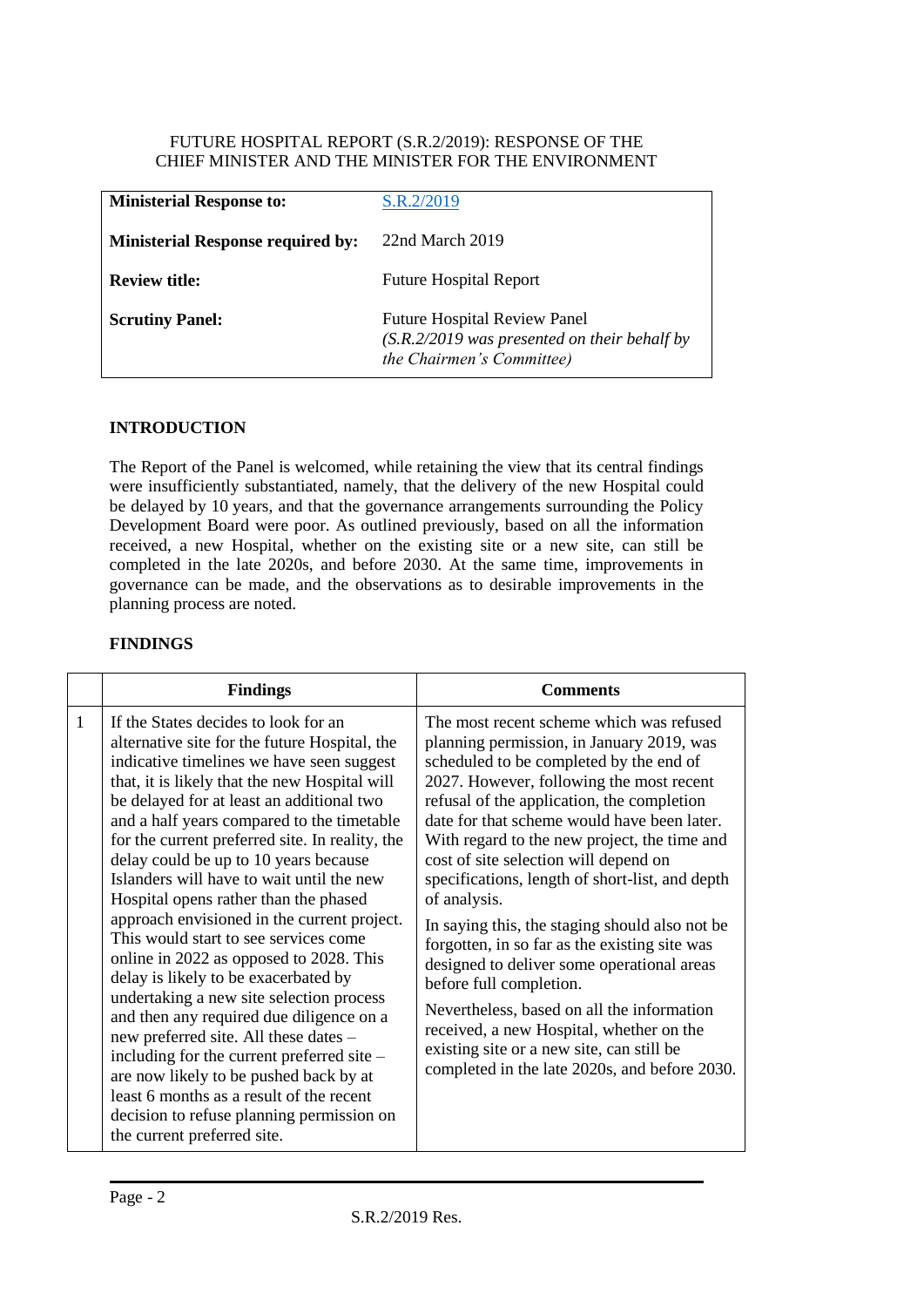#### FUTURE HOSPITAL REPORT (S.R.2/2019): RESPONSE OF THE CHIEF MINISTER AND THE MINISTER FOR THE ENVIRONMENT

| <b>Ministerial Response to:</b>          | S.R.2/2019                                                                                                         |
|------------------------------------------|--------------------------------------------------------------------------------------------------------------------|
| <b>Ministerial Response required by:</b> | 22nd March 2019                                                                                                    |
| <b>Review title:</b>                     | <b>Future Hospital Report</b>                                                                                      |
| <b>Scrutiny Panel:</b>                   | <b>Future Hospital Review Panel</b><br>$(S.R.2/2019$ was presented on their behalf by<br>the Chairmen's Committee) |

#### **INTRODUCTION**

The Report of the Panel is welcomed, while retaining the view that its central findings were insufficiently substantiated, namely, that the delivery of the new Hospital could be delayed by 10 years, and that the governance arrangements surrounding the Policy Development Board were poor. As outlined previously, based on all the information received, a new Hospital, whether on the existing site or a new site, can still be completed in the late 2020s, and before 2030. At the same time, improvements in governance can be made, and the observations as to desirable improvements in the planning process are noted.

#### **FINDINGS**

|                | <b>Findings</b>                                                                                                                                                                                                                                                                                                                                                                                                                                                                                                                                                                                                                                                                                                                                                                                                                                                                                                                                                                              | <b>Comments</b>                                                                                                                                                                                                                                                                                                                                                                                                                                                                                                                                                                                                                                                                                                                                                                                           |
|----------------|----------------------------------------------------------------------------------------------------------------------------------------------------------------------------------------------------------------------------------------------------------------------------------------------------------------------------------------------------------------------------------------------------------------------------------------------------------------------------------------------------------------------------------------------------------------------------------------------------------------------------------------------------------------------------------------------------------------------------------------------------------------------------------------------------------------------------------------------------------------------------------------------------------------------------------------------------------------------------------------------|-----------------------------------------------------------------------------------------------------------------------------------------------------------------------------------------------------------------------------------------------------------------------------------------------------------------------------------------------------------------------------------------------------------------------------------------------------------------------------------------------------------------------------------------------------------------------------------------------------------------------------------------------------------------------------------------------------------------------------------------------------------------------------------------------------------|
| $\overline{1}$ | If the States decides to look for an<br>alternative site for the future Hospital, the<br>indicative timelines we have seen suggest<br>that, it is likely that the new Hospital will<br>be delayed for at least an additional two<br>and a half years compared to the timetable<br>for the current preferred site. In reality, the<br>delay could be up to 10 years because<br>Islanders will have to wait until the new<br>Hospital opens rather than the phased<br>approach envisioned in the current project.<br>This would start to see services come<br>online in 2022 as opposed to 2028. This<br>delay is likely to be exacerbated by<br>undertaking a new site selection process<br>and then any required due diligence on a<br>new preferred site. All these dates -<br>including for the current preferred site –<br>are now likely to be pushed back by at<br>least 6 months as a result of the recent<br>decision to refuse planning permission on<br>the current preferred site. | The most recent scheme which was refused<br>planning permission, in January 2019, was<br>scheduled to be completed by the end of<br>2027. However, following the most recent<br>refusal of the application, the completion<br>date for that scheme would have been later.<br>With regard to the new project, the time and<br>cost of site selection will depend on<br>specifications, length of short-list, and depth<br>of analysis.<br>In saying this, the staging should also not be<br>forgotten, in so far as the existing site was<br>designed to deliver some operational areas<br>before full completion.<br>Nevertheless, based on all the information<br>received, a new Hospital, whether on the<br>existing site or a new site, can still be<br>completed in the late 2020s, and before 2030. |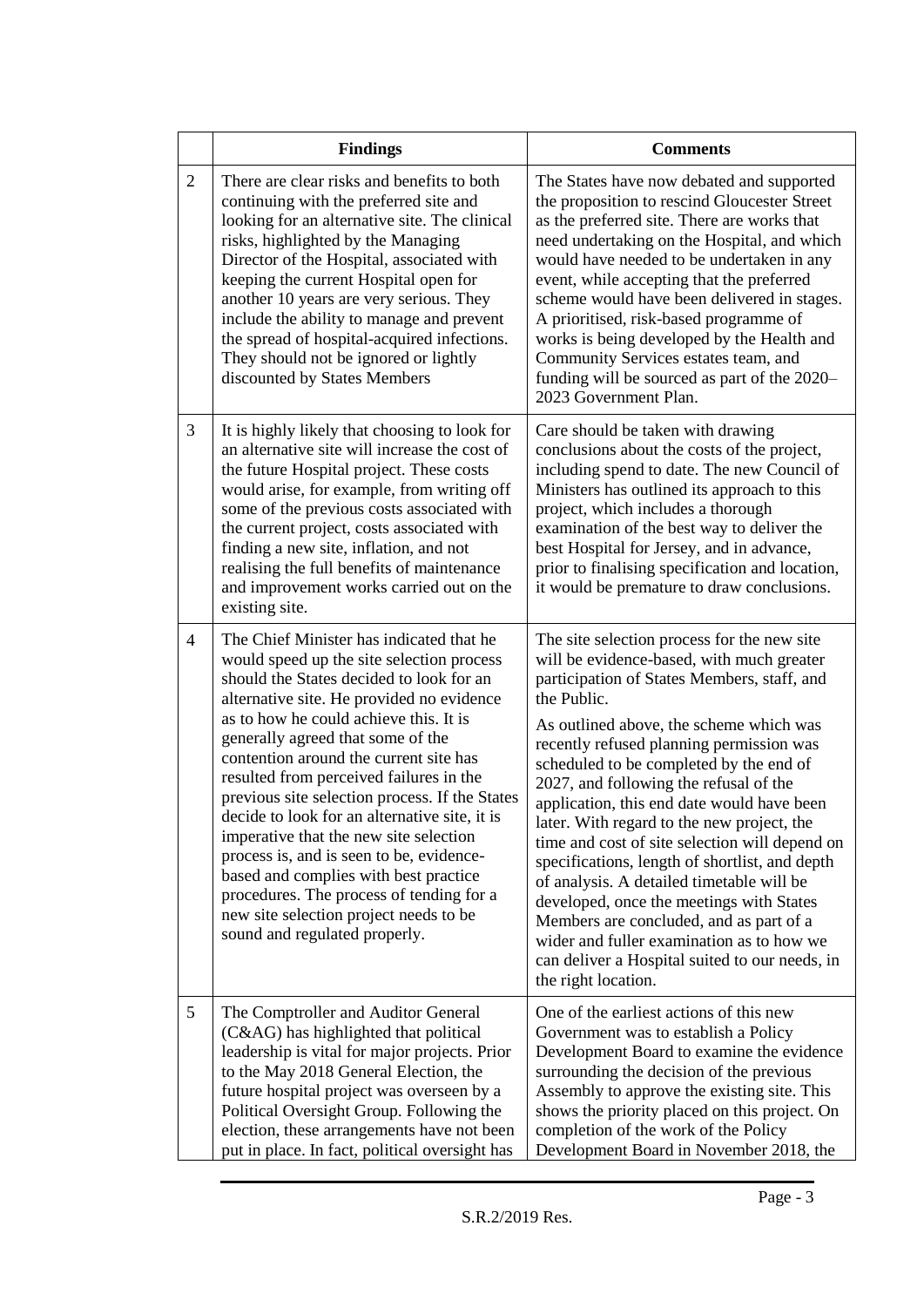|                | <b>Findings</b>                                                                                                                                                                                                                                                                                                                                                                                                                                                                                                                                                                                                                                                                                             | <b>Comments</b>                                                                                                                                                                                                                                                                                                                                                                                                                                                                                                                                                                                                                                                                                                                                                                              |  |
|----------------|-------------------------------------------------------------------------------------------------------------------------------------------------------------------------------------------------------------------------------------------------------------------------------------------------------------------------------------------------------------------------------------------------------------------------------------------------------------------------------------------------------------------------------------------------------------------------------------------------------------------------------------------------------------------------------------------------------------|----------------------------------------------------------------------------------------------------------------------------------------------------------------------------------------------------------------------------------------------------------------------------------------------------------------------------------------------------------------------------------------------------------------------------------------------------------------------------------------------------------------------------------------------------------------------------------------------------------------------------------------------------------------------------------------------------------------------------------------------------------------------------------------------|--|
| $\overline{2}$ | There are clear risks and benefits to both<br>continuing with the preferred site and<br>looking for an alternative site. The clinical<br>risks, highlighted by the Managing<br>Director of the Hospital, associated with<br>keeping the current Hospital open for<br>another 10 years are very serious. They<br>include the ability to manage and prevent<br>the spread of hospital-acquired infections.<br>They should not be ignored or lightly<br>discounted by States Members                                                                                                                                                                                                                           | The States have now debated and supported<br>the proposition to rescind Gloucester Street<br>as the preferred site. There are works that<br>need undertaking on the Hospital, and which<br>would have needed to be undertaken in any<br>event, while accepting that the preferred<br>scheme would have been delivered in stages.<br>A prioritised, risk-based programme of<br>works is being developed by the Health and<br>Community Services estates team, and<br>funding will be sourced as part of the 2020-<br>2023 Government Plan.                                                                                                                                                                                                                                                    |  |
| 3              | It is highly likely that choosing to look for<br>an alternative site will increase the cost of<br>the future Hospital project. These costs<br>would arise, for example, from writing off<br>some of the previous costs associated with<br>the current project, costs associated with<br>finding a new site, inflation, and not<br>realising the full benefits of maintenance<br>and improvement works carried out on the<br>existing site.                                                                                                                                                                                                                                                                  | Care should be taken with drawing<br>conclusions about the costs of the project,<br>including spend to date. The new Council of<br>Ministers has outlined its approach to this<br>project, which includes a thorough<br>examination of the best way to deliver the<br>best Hospital for Jersey, and in advance,<br>prior to finalising specification and location,<br>it would be premature to draw conclusions.                                                                                                                                                                                                                                                                                                                                                                             |  |
| 4              | The Chief Minister has indicated that he<br>would speed up the site selection process<br>should the States decided to look for an<br>alternative site. He provided no evidence<br>as to how he could achieve this. It is<br>generally agreed that some of the<br>contention around the current site has<br>resulted from perceived failures in the<br>previous site selection process. If the States<br>decide to look for an alternative site, it is<br>imperative that the new site selection<br>process is, and is seen to be, evidence-<br>based and complies with best practice<br>procedures. The process of tending for a<br>new site selection project needs to be<br>sound and regulated properly. | The site selection process for the new site<br>will be evidence-based, with much greater<br>participation of States Members, staff, and<br>the Public.<br>As outlined above, the scheme which was<br>recently refused planning permission was<br>scheduled to be completed by the end of<br>2027, and following the refusal of the<br>application, this end date would have been<br>later. With regard to the new project, the<br>time and cost of site selection will depend on<br>specifications, length of shortlist, and depth<br>of analysis. A detailed timetable will be<br>developed, once the meetings with States<br>Members are concluded, and as part of a<br>wider and fuller examination as to how we<br>can deliver a Hospital suited to our needs, in<br>the right location. |  |
| 5              | The Comptroller and Auditor General<br>(C&AG) has highlighted that political<br>leadership is vital for major projects. Prior<br>to the May 2018 General Election, the<br>future hospital project was overseen by a<br>Political Oversight Group. Following the<br>election, these arrangements have not been<br>put in place. In fact, political oversight has                                                                                                                                                                                                                                                                                                                                             | One of the earliest actions of this new<br>Government was to establish a Policy<br>Development Board to examine the evidence<br>surrounding the decision of the previous<br>Assembly to approve the existing site. This<br>shows the priority placed on this project. On<br>completion of the work of the Policy<br>Development Board in November 2018, the                                                                                                                                                                                                                                                                                                                                                                                                                                  |  |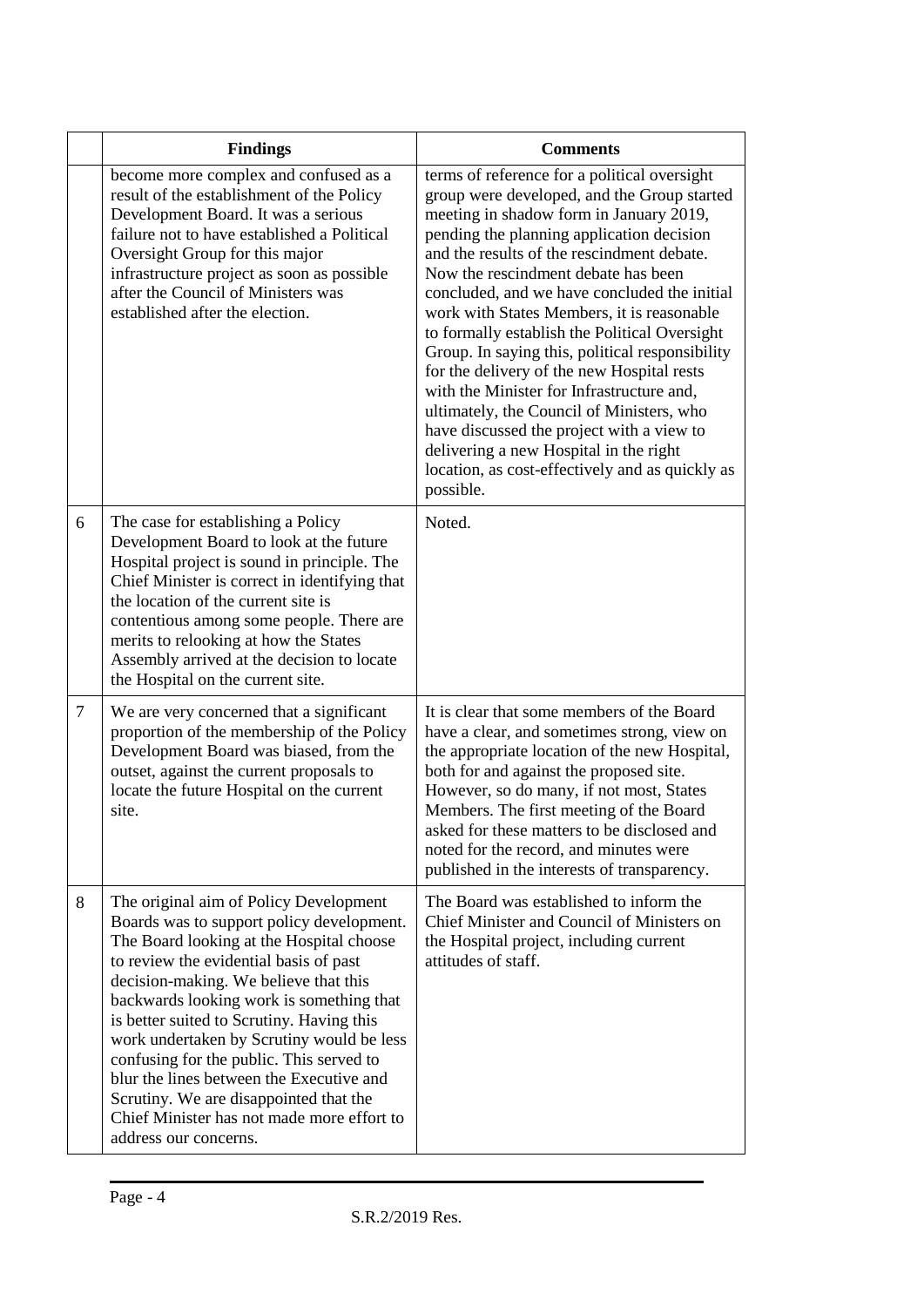|   | <b>Findings</b>                                                                                                                                                                                                                                                                                                                                                                                                                                                                                                                                                   | <b>Comments</b>                                                                                                                                                                                                                                                                                                                                                                                                                                                                                                                                                                                                                                                                                                                                                           |
|---|-------------------------------------------------------------------------------------------------------------------------------------------------------------------------------------------------------------------------------------------------------------------------------------------------------------------------------------------------------------------------------------------------------------------------------------------------------------------------------------------------------------------------------------------------------------------|---------------------------------------------------------------------------------------------------------------------------------------------------------------------------------------------------------------------------------------------------------------------------------------------------------------------------------------------------------------------------------------------------------------------------------------------------------------------------------------------------------------------------------------------------------------------------------------------------------------------------------------------------------------------------------------------------------------------------------------------------------------------------|
|   | become more complex and confused as a<br>result of the establishment of the Policy<br>Development Board. It was a serious<br>failure not to have established a Political<br>Oversight Group for this major<br>infrastructure project as soon as possible<br>after the Council of Ministers was<br>established after the election.                                                                                                                                                                                                                                 | terms of reference for a political oversight<br>group were developed, and the Group started<br>meeting in shadow form in January 2019,<br>pending the planning application decision<br>and the results of the rescindment debate.<br>Now the rescindment debate has been<br>concluded, and we have concluded the initial<br>work with States Members, it is reasonable<br>to formally establish the Political Oversight<br>Group. In saying this, political responsibility<br>for the delivery of the new Hospital rests<br>with the Minister for Infrastructure and,<br>ultimately, the Council of Ministers, who<br>have discussed the project with a view to<br>delivering a new Hospital in the right<br>location, as cost-effectively and as quickly as<br>possible. |
| 6 | The case for establishing a Policy<br>Development Board to look at the future<br>Hospital project is sound in principle. The<br>Chief Minister is correct in identifying that<br>the location of the current site is<br>contentious among some people. There are<br>merits to relooking at how the States<br>Assembly arrived at the decision to locate<br>the Hospital on the current site.                                                                                                                                                                      | Noted.                                                                                                                                                                                                                                                                                                                                                                                                                                                                                                                                                                                                                                                                                                                                                                    |
| 7 | We are very concerned that a significant<br>proportion of the membership of the Policy<br>Development Board was biased, from the<br>outset, against the current proposals to<br>locate the future Hospital on the current<br>site.                                                                                                                                                                                                                                                                                                                                | It is clear that some members of the Board<br>have a clear, and sometimes strong, view on<br>the appropriate location of the new Hospital,<br>both for and against the proposed site.<br>However, so do many, if not most, States<br>Members. The first meeting of the Board<br>asked for these matters to be disclosed and<br>noted for the record, and minutes were<br>published in the interests of transparency.                                                                                                                                                                                                                                                                                                                                                      |
| 8 | The original aim of Policy Development<br>Boards was to support policy development.<br>The Board looking at the Hospital choose<br>to review the evidential basis of past<br>decision-making. We believe that this<br>backwards looking work is something that<br>is better suited to Scrutiny. Having this<br>work undertaken by Scrutiny would be less<br>confusing for the public. This served to<br>blur the lines between the Executive and<br>Scrutiny. We are disappointed that the<br>Chief Minister has not made more effort to<br>address our concerns. | The Board was established to inform the<br>Chief Minister and Council of Ministers on<br>the Hospital project, including current<br>attitudes of staff.                                                                                                                                                                                                                                                                                                                                                                                                                                                                                                                                                                                                                   |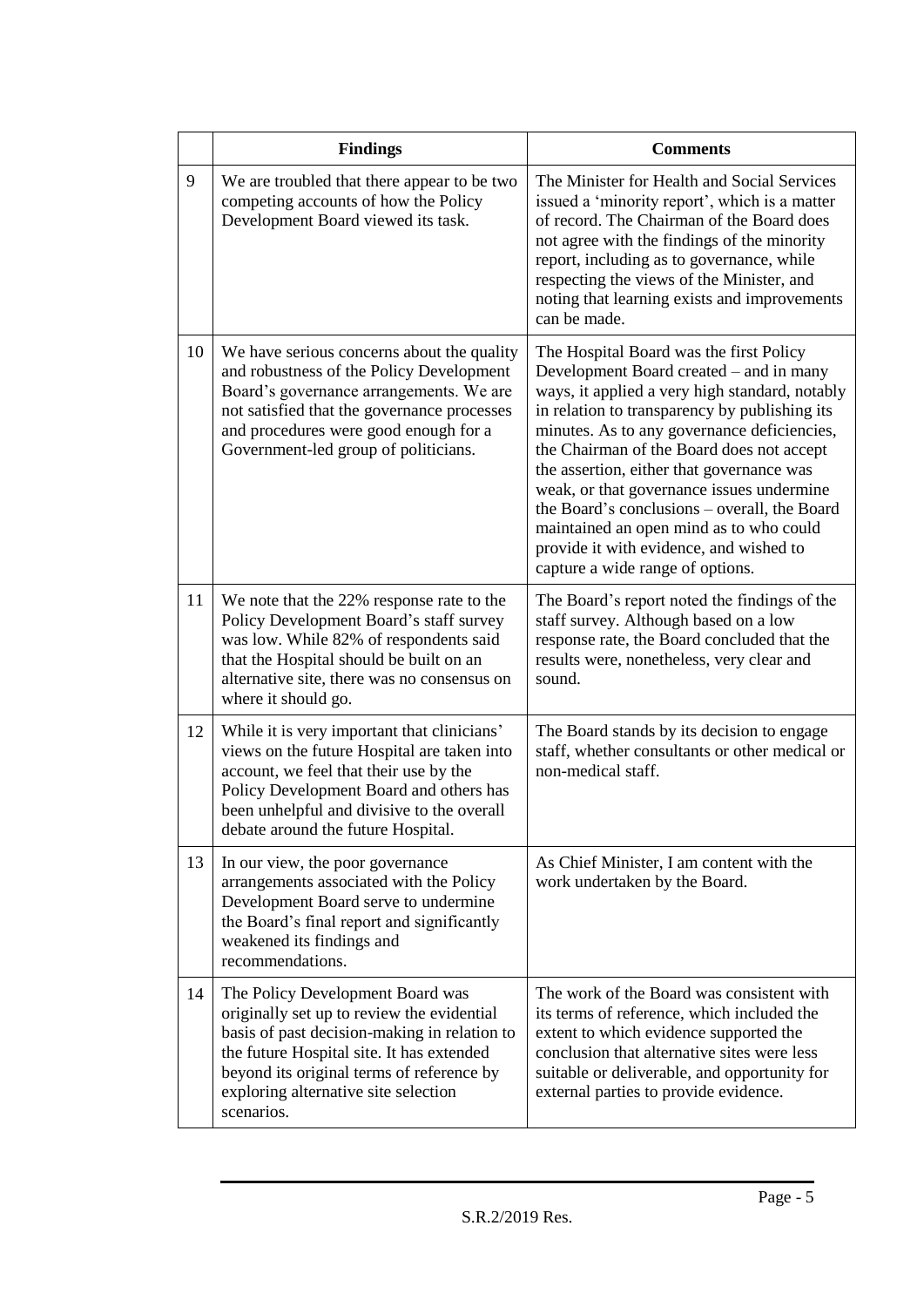|    | <b>Findings</b>                                                                                                                                                                                                                                                                | <b>Comments</b>                                                                                                                                                                                                                                                                                                                                                                                                                                                                                                                                       |
|----|--------------------------------------------------------------------------------------------------------------------------------------------------------------------------------------------------------------------------------------------------------------------------------|-------------------------------------------------------------------------------------------------------------------------------------------------------------------------------------------------------------------------------------------------------------------------------------------------------------------------------------------------------------------------------------------------------------------------------------------------------------------------------------------------------------------------------------------------------|
| 9  | We are troubled that there appear to be two<br>competing accounts of how the Policy<br>Development Board viewed its task.                                                                                                                                                      | The Minister for Health and Social Services<br>issued a 'minority report', which is a matter<br>of record. The Chairman of the Board does<br>not agree with the findings of the minority<br>report, including as to governance, while<br>respecting the views of the Minister, and<br>noting that learning exists and improvements<br>can be made.                                                                                                                                                                                                    |
| 10 | We have serious concerns about the quality<br>and robustness of the Policy Development<br>Board's governance arrangements. We are<br>not satisfied that the governance processes<br>and procedures were good enough for a<br>Government-led group of politicians.              | The Hospital Board was the first Policy<br>Development Board created - and in many<br>ways, it applied a very high standard, notably<br>in relation to transparency by publishing its<br>minutes. As to any governance deficiencies,<br>the Chairman of the Board does not accept<br>the assertion, either that governance was<br>weak, or that governance issues undermine<br>the Board's conclusions – overall, the Board<br>maintained an open mind as to who could<br>provide it with evidence, and wished to<br>capture a wide range of options. |
| 11 | We note that the 22% response rate to the<br>Policy Development Board's staff survey<br>was low. While 82% of respondents said<br>that the Hospital should be built on an<br>alternative site, there was no consensus on<br>where it should go.                                | The Board's report noted the findings of the<br>staff survey. Although based on a low<br>response rate, the Board concluded that the<br>results were, nonetheless, very clear and<br>sound.                                                                                                                                                                                                                                                                                                                                                           |
| 12 | While it is very important that clinicians'<br>views on the future Hospital are taken into<br>account, we feel that their use by the<br>Policy Development Board and others has<br>been unhelpful and divisive to the overall<br>debate around the future Hospital.            | The Board stands by its decision to engage<br>staff, whether consultants or other medical or<br>non-medical staff.                                                                                                                                                                                                                                                                                                                                                                                                                                    |
| 13 | In our view, the poor governance<br>arrangements associated with the Policy<br>Development Board serve to undermine<br>the Board's final report and significantly<br>weakened its findings and<br>recommendations.                                                             | As Chief Minister, I am content with the<br>work undertaken by the Board.                                                                                                                                                                                                                                                                                                                                                                                                                                                                             |
| 14 | The Policy Development Board was<br>originally set up to review the evidential<br>basis of past decision-making in relation to<br>the future Hospital site. It has extended<br>beyond its original terms of reference by<br>exploring alternative site selection<br>scenarios. | The work of the Board was consistent with<br>its terms of reference, which included the<br>extent to which evidence supported the<br>conclusion that alternative sites were less<br>suitable or deliverable, and opportunity for<br>external parties to provide evidence.                                                                                                                                                                                                                                                                             |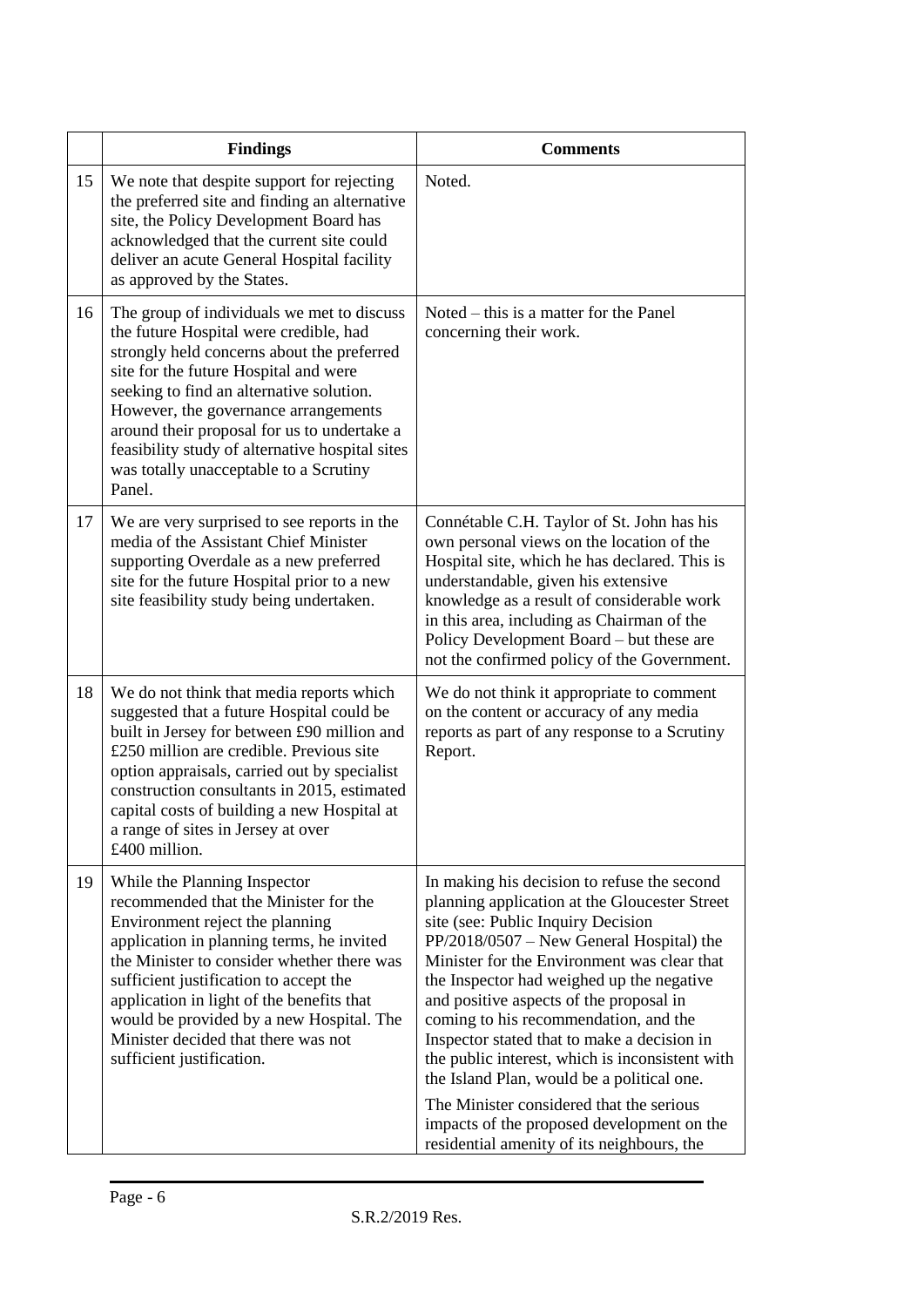|    | <b>Findings</b>                                                                                                                                                                                                                                                                                                                                                                                                       | <b>Comments</b>                                                                                                                                                                                                                                                                                                                                                                                                                                                                                                                                                                                                                                          |
|----|-----------------------------------------------------------------------------------------------------------------------------------------------------------------------------------------------------------------------------------------------------------------------------------------------------------------------------------------------------------------------------------------------------------------------|----------------------------------------------------------------------------------------------------------------------------------------------------------------------------------------------------------------------------------------------------------------------------------------------------------------------------------------------------------------------------------------------------------------------------------------------------------------------------------------------------------------------------------------------------------------------------------------------------------------------------------------------------------|
| 15 | We note that despite support for rejecting<br>the preferred site and finding an alternative<br>site, the Policy Development Board has<br>acknowledged that the current site could<br>deliver an acute General Hospital facility<br>as approved by the States.                                                                                                                                                         | Noted.                                                                                                                                                                                                                                                                                                                                                                                                                                                                                                                                                                                                                                                   |
| 16 | The group of individuals we met to discuss<br>the future Hospital were credible, had<br>strongly held concerns about the preferred<br>site for the future Hospital and were<br>seeking to find an alternative solution.<br>However, the governance arrangements<br>around their proposal for us to undertake a<br>feasibility study of alternative hospital sites<br>was totally unacceptable to a Scrutiny<br>Panel. | Noted – this is a matter for the Panel<br>concerning their work.                                                                                                                                                                                                                                                                                                                                                                                                                                                                                                                                                                                         |
| 17 | We are very surprised to see reports in the<br>media of the Assistant Chief Minister<br>supporting Overdale as a new preferred<br>site for the future Hospital prior to a new<br>site feasibility study being undertaken.                                                                                                                                                                                             | Connétable C.H. Taylor of St. John has his<br>own personal views on the location of the<br>Hospital site, which he has declared. This is<br>understandable, given his extensive<br>knowledge as a result of considerable work<br>in this area, including as Chairman of the<br>Policy Development Board – but these are<br>not the confirmed policy of the Government.                                                                                                                                                                                                                                                                                   |
| 18 | We do not think that media reports which<br>suggested that a future Hospital could be<br>built in Jersey for between £90 million and<br>£250 million are credible. Previous site<br>option appraisals, carried out by specialist<br>construction consultants in 2015, estimated<br>capital costs of building a new Hospital at<br>a range of sites in Jersey at over<br>£400 million.                                 | We do not think it appropriate to comment<br>on the content or accuracy of any media<br>reports as part of any response to a Scrutiny<br>Report.                                                                                                                                                                                                                                                                                                                                                                                                                                                                                                         |
| 19 | While the Planning Inspector<br>recommended that the Minister for the<br>Environment reject the planning<br>application in planning terms, he invited<br>the Minister to consider whether there was<br>sufficient justification to accept the<br>application in light of the benefits that<br>would be provided by a new Hospital. The<br>Minister decided that there was not<br>sufficient justification.            | In making his decision to refuse the second<br>planning application at the Gloucester Street<br>site (see: Public Inquiry Decision<br>$PP/2018/0507 - New General Hospital)$ the<br>Minister for the Environment was clear that<br>the Inspector had weighed up the negative<br>and positive aspects of the proposal in<br>coming to his recommendation, and the<br>Inspector stated that to make a decision in<br>the public interest, which is inconsistent with<br>the Island Plan, would be a political one.<br>The Minister considered that the serious<br>impacts of the proposed development on the<br>residential amenity of its neighbours, the |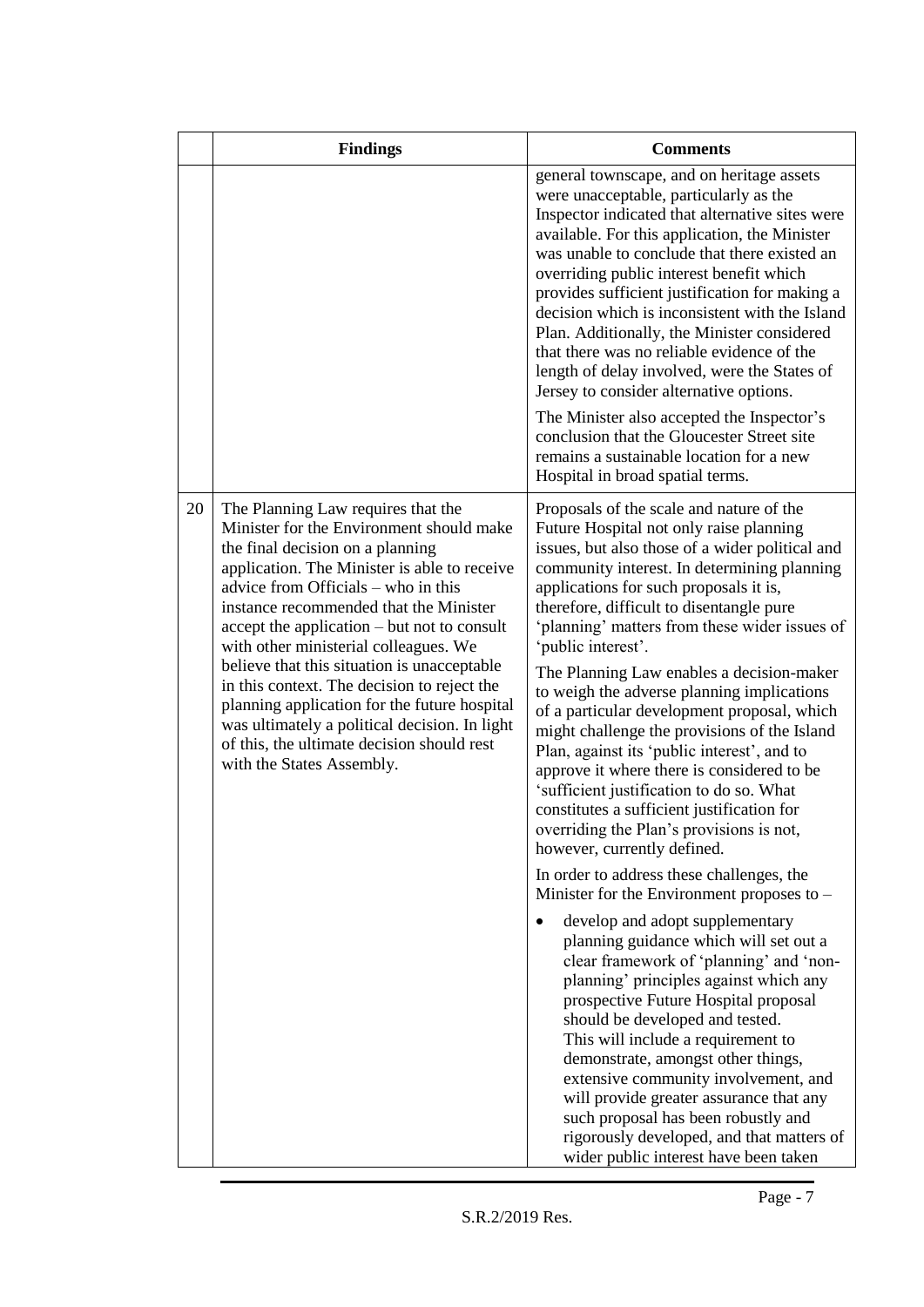|    | <b>Findings</b>                                                                                                                                                                                                                                                                                                                                                                                                                                                                                                                                                                                                       | <b>Comments</b>                                                                                                                                                                                                                                                                                                                                                                                                                                                                                                                                                                                                                                                                                                                                                                                                                                                                                                                                                                                                                                                                                                                                                                                                                                                                                                                                                                                                                                      |
|----|-----------------------------------------------------------------------------------------------------------------------------------------------------------------------------------------------------------------------------------------------------------------------------------------------------------------------------------------------------------------------------------------------------------------------------------------------------------------------------------------------------------------------------------------------------------------------------------------------------------------------|------------------------------------------------------------------------------------------------------------------------------------------------------------------------------------------------------------------------------------------------------------------------------------------------------------------------------------------------------------------------------------------------------------------------------------------------------------------------------------------------------------------------------------------------------------------------------------------------------------------------------------------------------------------------------------------------------------------------------------------------------------------------------------------------------------------------------------------------------------------------------------------------------------------------------------------------------------------------------------------------------------------------------------------------------------------------------------------------------------------------------------------------------------------------------------------------------------------------------------------------------------------------------------------------------------------------------------------------------------------------------------------------------------------------------------------------------|
|    |                                                                                                                                                                                                                                                                                                                                                                                                                                                                                                                                                                                                                       | general townscape, and on heritage assets<br>were unacceptable, particularly as the<br>Inspector indicated that alternative sites were<br>available. For this application, the Minister<br>was unable to conclude that there existed an<br>overriding public interest benefit which<br>provides sufficient justification for making a<br>decision which is inconsistent with the Island<br>Plan. Additionally, the Minister considered<br>that there was no reliable evidence of the<br>length of delay involved, were the States of<br>Jersey to consider alternative options.<br>The Minister also accepted the Inspector's<br>conclusion that the Gloucester Street site<br>remains a sustainable location for a new<br>Hospital in broad spatial terms.                                                                                                                                                                                                                                                                                                                                                                                                                                                                                                                                                                                                                                                                                          |
| 20 | The Planning Law requires that the<br>Minister for the Environment should make<br>the final decision on a planning<br>application. The Minister is able to receive<br>advice from Officials – who in this<br>instance recommended that the Minister<br>accept the application – but not to consult<br>with other ministerial colleagues. We<br>believe that this situation is unacceptable<br>in this context. The decision to reject the<br>planning application for the future hospital<br>was ultimately a political decision. In light<br>of this, the ultimate decision should rest<br>with the States Assembly. | Proposals of the scale and nature of the<br>Future Hospital not only raise planning<br>issues, but also those of a wider political and<br>community interest. In determining planning<br>applications for such proposals it is,<br>therefore, difficult to disentangle pure<br>'planning' matters from these wider issues of<br>'public interest'.<br>The Planning Law enables a decision-maker<br>to weigh the adverse planning implications<br>of a particular development proposal, which<br>might challenge the provisions of the Island<br>Plan, against its 'public interest', and to<br>approve it where there is considered to be<br>'sufficient justification to do so. What<br>constitutes a sufficient justification for<br>overriding the Plan's provisions is not,<br>however, currently defined.<br>In order to address these challenges, the<br>Minister for the Environment proposes to $-$<br>develop and adopt supplementary<br>planning guidance which will set out a<br>clear framework of 'planning' and 'non-<br>planning' principles against which any<br>prospective Future Hospital proposal<br>should be developed and tested.<br>This will include a requirement to<br>demonstrate, amongst other things,<br>extensive community involvement, and<br>will provide greater assurance that any<br>such proposal has been robustly and<br>rigorously developed, and that matters of<br>wider public interest have been taken |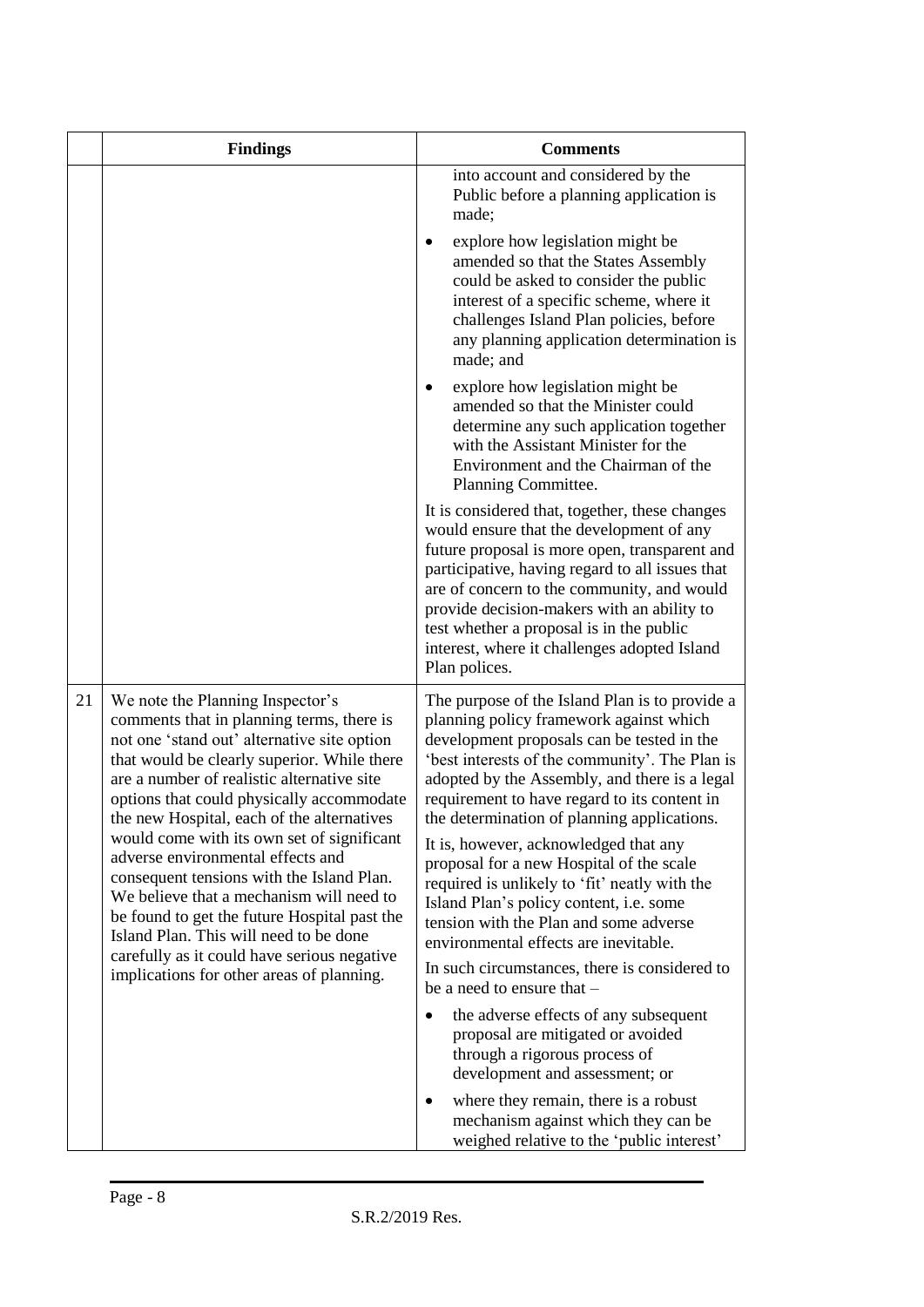|    | <b>Findings</b>                                                                                                                                                                                                                                                                                                                                                                                                                                                                                                                                                                                                                                                                        | <b>Comments</b>                                                                                                                                                                                                                                                                                                                                                                                                                                                                                                                                                                                                                                                                              |
|----|----------------------------------------------------------------------------------------------------------------------------------------------------------------------------------------------------------------------------------------------------------------------------------------------------------------------------------------------------------------------------------------------------------------------------------------------------------------------------------------------------------------------------------------------------------------------------------------------------------------------------------------------------------------------------------------|----------------------------------------------------------------------------------------------------------------------------------------------------------------------------------------------------------------------------------------------------------------------------------------------------------------------------------------------------------------------------------------------------------------------------------------------------------------------------------------------------------------------------------------------------------------------------------------------------------------------------------------------------------------------------------------------|
|    |                                                                                                                                                                                                                                                                                                                                                                                                                                                                                                                                                                                                                                                                                        | into account and considered by the<br>Public before a planning application is<br>made;                                                                                                                                                                                                                                                                                                                                                                                                                                                                                                                                                                                                       |
|    |                                                                                                                                                                                                                                                                                                                                                                                                                                                                                                                                                                                                                                                                                        | explore how legislation might be<br>٠<br>amended so that the States Assembly<br>could be asked to consider the public<br>interest of a specific scheme, where it<br>challenges Island Plan policies, before<br>any planning application determination is<br>made; and                                                                                                                                                                                                                                                                                                                                                                                                                        |
|    |                                                                                                                                                                                                                                                                                                                                                                                                                                                                                                                                                                                                                                                                                        | explore how legislation might be<br>amended so that the Minister could<br>determine any such application together<br>with the Assistant Minister for the<br>Environment and the Chairman of the<br>Planning Committee.                                                                                                                                                                                                                                                                                                                                                                                                                                                                       |
|    |                                                                                                                                                                                                                                                                                                                                                                                                                                                                                                                                                                                                                                                                                        | It is considered that, together, these changes<br>would ensure that the development of any<br>future proposal is more open, transparent and<br>participative, having regard to all issues that<br>are of concern to the community, and would<br>provide decision-makers with an ability to<br>test whether a proposal is in the public<br>interest, where it challenges adopted Island<br>Plan polices.                                                                                                                                                                                                                                                                                      |
| 21 | We note the Planning Inspector's<br>comments that in planning terms, there is<br>not one 'stand out' alternative site option<br>that would be clearly superior. While there<br>are a number of realistic alternative site<br>options that could physically accommodate<br>the new Hospital, each of the alternatives<br>would come with its own set of significant<br>adverse environmental effects and<br>consequent tensions with the Island Plan.<br>We believe that a mechanism will need to<br>be found to get the future Hospital past the<br>Island Plan. This will need to be done<br>carefully as it could have serious negative<br>implications for other areas of planning. | The purpose of the Island Plan is to provide a<br>planning policy framework against which<br>development proposals can be tested in the<br>'best interests of the community'. The Plan is<br>adopted by the Assembly, and there is a legal<br>requirement to have regard to its content in<br>the determination of planning applications.<br>It is, however, acknowledged that any<br>proposal for a new Hospital of the scale<br>required is unlikely to 'fit' neatly with the<br>Island Plan's policy content, i.e. some<br>tension with the Plan and some adverse<br>environmental effects are inevitable.<br>In such circumstances, there is considered to<br>be a need to ensure that - |
|    |                                                                                                                                                                                                                                                                                                                                                                                                                                                                                                                                                                                                                                                                                        | the adverse effects of any subsequent<br>$\bullet$<br>proposal are mitigated or avoided<br>through a rigorous process of<br>development and assessment; or                                                                                                                                                                                                                                                                                                                                                                                                                                                                                                                                   |
|    |                                                                                                                                                                                                                                                                                                                                                                                                                                                                                                                                                                                                                                                                                        | where they remain, there is a robust<br>$\bullet$<br>mechanism against which they can be<br>weighed relative to the 'public interest'                                                                                                                                                                                                                                                                                                                                                                                                                                                                                                                                                        |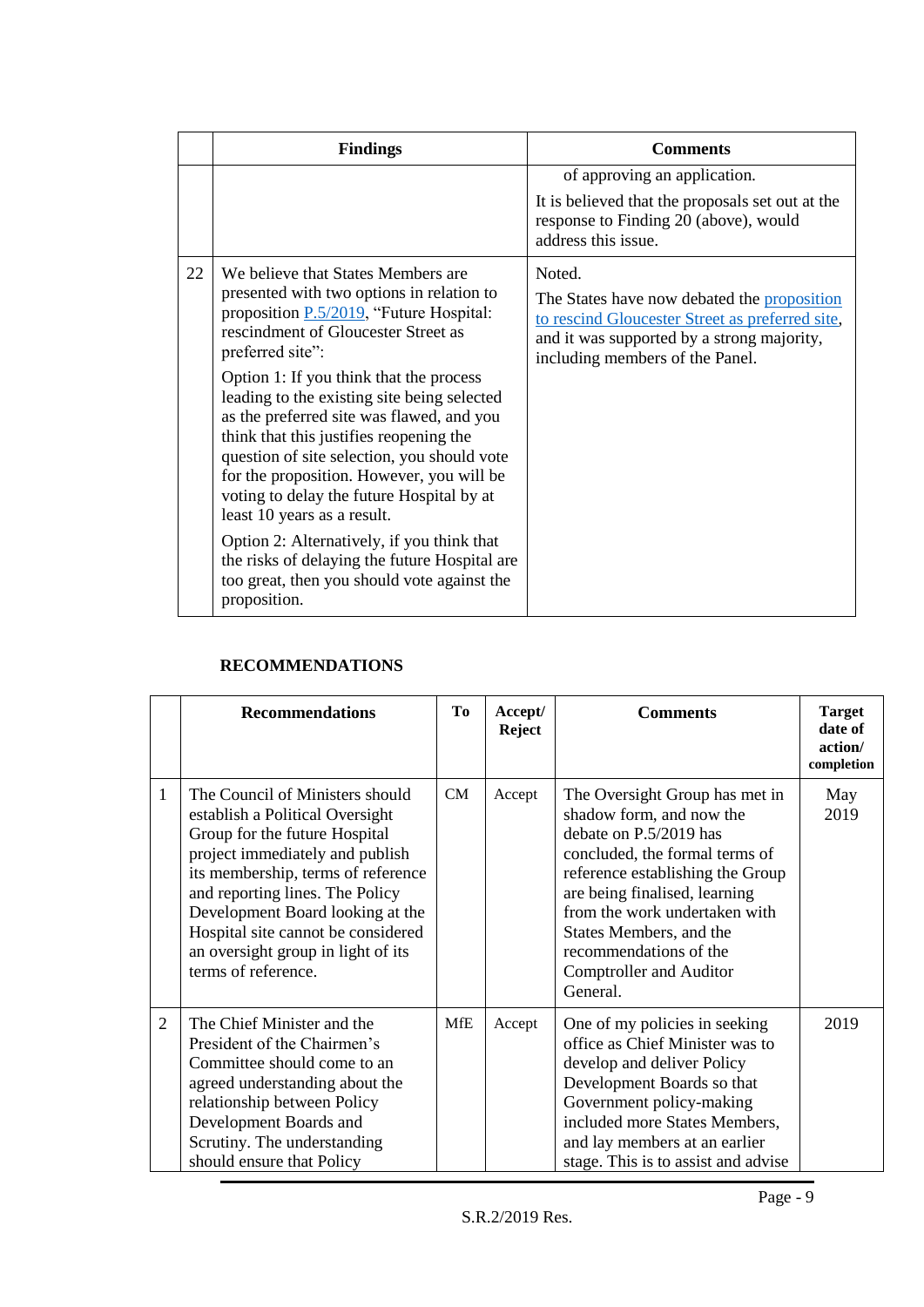|    | <b>Findings</b>                                                                                                                                                                                                                                                                                                                                                                                                                                                                                                                                                                                                                                                                                               | <b>Comments</b>                                                                                                                                                                           |
|----|---------------------------------------------------------------------------------------------------------------------------------------------------------------------------------------------------------------------------------------------------------------------------------------------------------------------------------------------------------------------------------------------------------------------------------------------------------------------------------------------------------------------------------------------------------------------------------------------------------------------------------------------------------------------------------------------------------------|-------------------------------------------------------------------------------------------------------------------------------------------------------------------------------------------|
|    |                                                                                                                                                                                                                                                                                                                                                                                                                                                                                                                                                                                                                                                                                                               | of approving an application.<br>It is believed that the proposals set out at the<br>response to Finding 20 (above), would<br>address this issue.                                          |
| 22 | We believe that States Members are<br>presented with two options in relation to<br>proposition P.5/2019, "Future Hospital:<br>rescindment of Gloucester Street as<br>preferred site":<br>Option 1: If you think that the process<br>leading to the existing site being selected<br>as the preferred site was flawed, and you<br>think that this justifies reopening the<br>question of site selection, you should vote<br>for the proposition. However, you will be<br>voting to delay the future Hospital by at<br>least 10 years as a result.<br>Option 2: Alternatively, if you think that<br>the risks of delaying the future Hospital are<br>too great, then you should vote against the<br>proposition. | Noted.<br>The States have now debated the proposition<br>to rescind Gloucester Street as preferred site,<br>and it was supported by a strong majority,<br>including members of the Panel. |

## **RECOMMENDATIONS**

|                | <b>Recommendations</b>                                                                                                                                                                                                                                                                                                                                 | Tо         | Accept/<br><b>Reject</b> | <b>Comments</b>                                                                                                                                                                                                                                                                                                          | <b>Target</b><br>date of<br>action/<br>completion |
|----------------|--------------------------------------------------------------------------------------------------------------------------------------------------------------------------------------------------------------------------------------------------------------------------------------------------------------------------------------------------------|------------|--------------------------|--------------------------------------------------------------------------------------------------------------------------------------------------------------------------------------------------------------------------------------------------------------------------------------------------------------------------|---------------------------------------------------|
| 1              | The Council of Ministers should<br>establish a Political Oversight<br>Group for the future Hospital<br>project immediately and publish<br>its membership, terms of reference<br>and reporting lines. The Policy<br>Development Board looking at the<br>Hospital site cannot be considered<br>an oversight group in light of its<br>terms of reference. | CM         | Accept                   | The Oversight Group has met in<br>shadow form, and now the<br>debate on P.5/2019 has<br>concluded, the formal terms of<br>reference establishing the Group<br>are being finalised, learning<br>from the work undertaken with<br>States Members, and the<br>recommendations of the<br>Comptroller and Auditor<br>General. | May<br>2019                                       |
| $\overline{2}$ | The Chief Minister and the<br>President of the Chairmen's<br>Committee should come to an<br>agreed understanding about the<br>relationship between Policy<br>Development Boards and<br>Scrutiny. The understanding<br>should ensure that Policy                                                                                                        | <b>MfE</b> | Accept                   | One of my policies in seeking<br>office as Chief Minister was to<br>develop and deliver Policy<br>Development Boards so that<br>Government policy-making<br>included more States Members,<br>and lay members at an earlier<br>stage. This is to assist and advise                                                        | 2019                                              |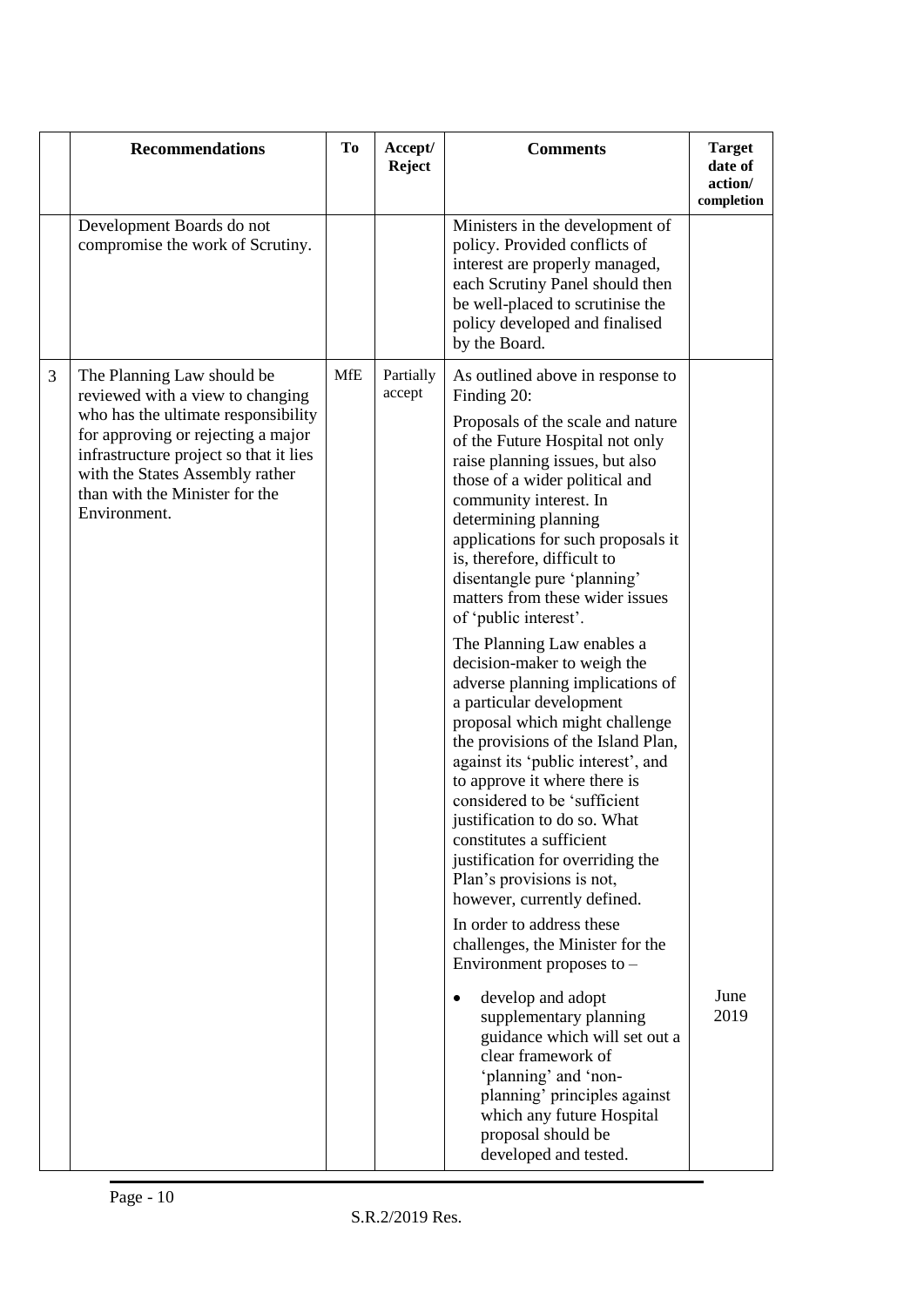|   | <b>Recommendations</b>                                                                                                                                                                                                                                                     | To         | Accept/<br>Reject   | <b>Comments</b>                                                                                                                                                                                                                                                                                                                                                                                                                                                                                                                                                                                                                                                                                                                                                                                                                                                                                                                                                                     | <b>Target</b><br>date of<br>action/<br>completion |
|---|----------------------------------------------------------------------------------------------------------------------------------------------------------------------------------------------------------------------------------------------------------------------------|------------|---------------------|-------------------------------------------------------------------------------------------------------------------------------------------------------------------------------------------------------------------------------------------------------------------------------------------------------------------------------------------------------------------------------------------------------------------------------------------------------------------------------------------------------------------------------------------------------------------------------------------------------------------------------------------------------------------------------------------------------------------------------------------------------------------------------------------------------------------------------------------------------------------------------------------------------------------------------------------------------------------------------------|---------------------------------------------------|
|   | Development Boards do not<br>compromise the work of Scrutiny.                                                                                                                                                                                                              |            |                     | Ministers in the development of<br>policy. Provided conflicts of<br>interest are properly managed,<br>each Scrutiny Panel should then<br>be well-placed to scrutinise the<br>policy developed and finalised<br>by the Board.                                                                                                                                                                                                                                                                                                                                                                                                                                                                                                                                                                                                                                                                                                                                                        |                                                   |
| 3 | The Planning Law should be<br>reviewed with a view to changing<br>who has the ultimate responsibility<br>for approving or rejecting a major<br>infrastructure project so that it lies<br>with the States Assembly rather<br>than with the Minister for the<br>Environment. | <b>MfE</b> | Partially<br>accept | As outlined above in response to<br>Finding 20:<br>Proposals of the scale and nature<br>of the Future Hospital not only<br>raise planning issues, but also<br>those of a wider political and<br>community interest. In<br>determining planning<br>applications for such proposals it<br>is, therefore, difficult to<br>disentangle pure 'planning'<br>matters from these wider issues<br>of 'public interest'.<br>The Planning Law enables a<br>decision-maker to weigh the<br>adverse planning implications of<br>a particular development<br>proposal which might challenge<br>the provisions of the Island Plan,<br>against its 'public interest', and<br>to approve it where there is<br>considered to be 'sufficient<br>justification to do so. What<br>constitutes a sufficient<br>justification for overriding the<br>Plan's provisions is not,<br>however, currently defined.<br>In order to address these<br>challenges, the Minister for the<br>Environment proposes to - |                                                   |
|   |                                                                                                                                                                                                                                                                            |            |                     | develop and adopt<br>$\bullet$<br>supplementary planning<br>guidance which will set out a<br>clear framework of<br>'planning' and 'non-<br>planning' principles against<br>which any future Hospital<br>proposal should be<br>developed and tested.                                                                                                                                                                                                                                                                                                                                                                                                                                                                                                                                                                                                                                                                                                                                 | June<br>2019                                      |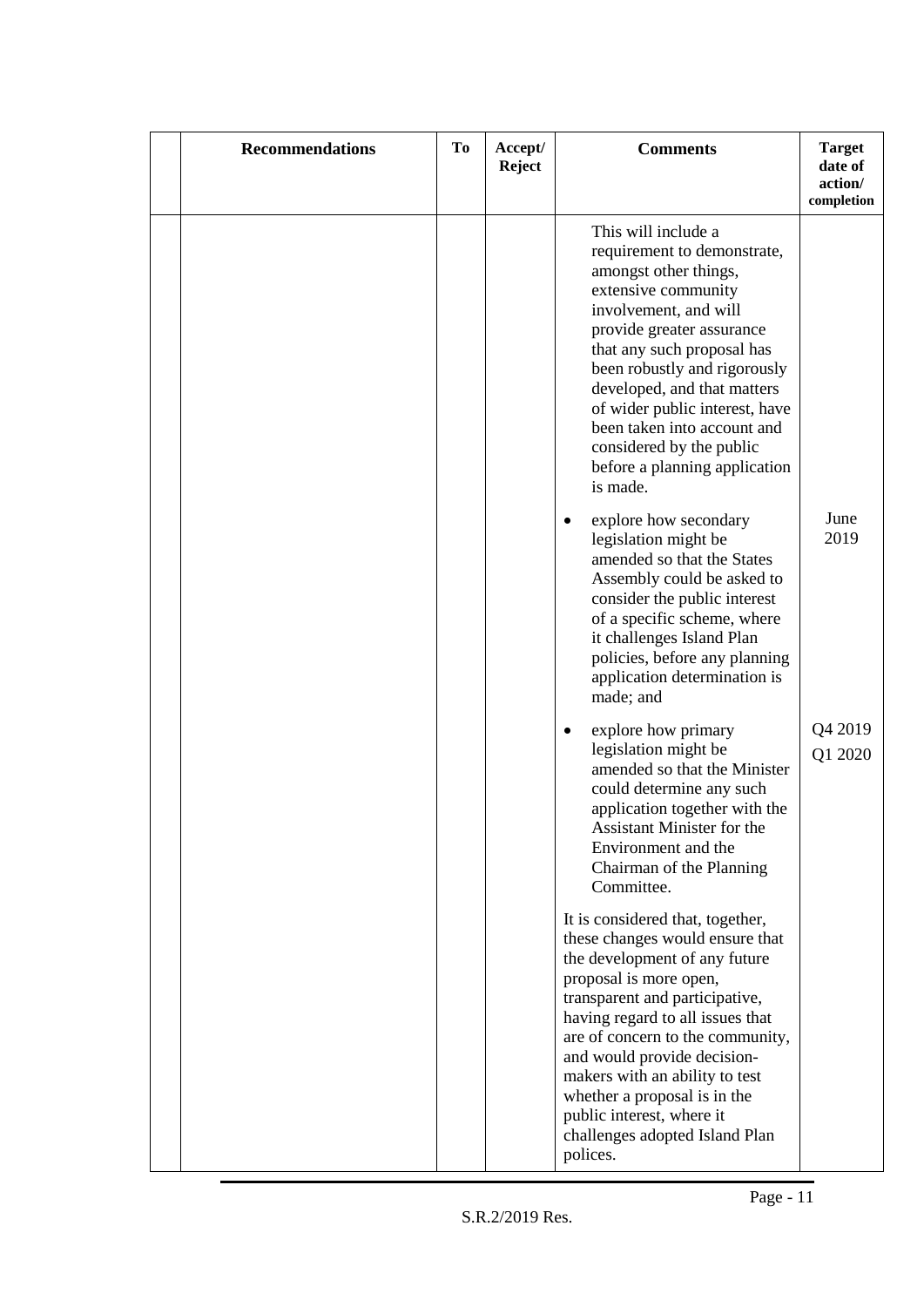| <b>Recommendations</b> | To | Accept/<br><b>Reject</b> | <b>Comments</b>                                                                                                                                                                                                                                                                                                                                                                                                      | <b>Target</b><br>date of<br>action/<br>completion |
|------------------------|----|--------------------------|----------------------------------------------------------------------------------------------------------------------------------------------------------------------------------------------------------------------------------------------------------------------------------------------------------------------------------------------------------------------------------------------------------------------|---------------------------------------------------|
|                        |    |                          | This will include a<br>requirement to demonstrate,<br>amongst other things,<br>extensive community<br>involvement, and will<br>provide greater assurance<br>that any such proposal has<br>been robustly and rigorously<br>developed, and that matters<br>of wider public interest, have<br>been taken into account and<br>considered by the public<br>before a planning application<br>is made.                      |                                                   |
|                        |    |                          | explore how secondary<br>$\bullet$<br>legislation might be<br>amended so that the States<br>Assembly could be asked to<br>consider the public interest<br>of a specific scheme, where<br>it challenges Island Plan<br>policies, before any planning<br>application determination is<br>made; and                                                                                                                     | June<br>2019                                      |
|                        |    |                          | explore how primary<br>$\bullet$<br>legislation might be<br>amended so that the Minister<br>could determine any such<br>application together with the<br><b>Assistant Minister for the</b><br>Environment and the<br>Chairman of the Planning<br>Committee.                                                                                                                                                          | Q4 2019<br>Q1 2020                                |
|                        |    |                          | It is considered that, together,<br>these changes would ensure that<br>the development of any future<br>proposal is more open,<br>transparent and participative,<br>having regard to all issues that<br>are of concern to the community,<br>and would provide decision-<br>makers with an ability to test<br>whether a proposal is in the<br>public interest, where it<br>challenges adopted Island Plan<br>polices. |                                                   |